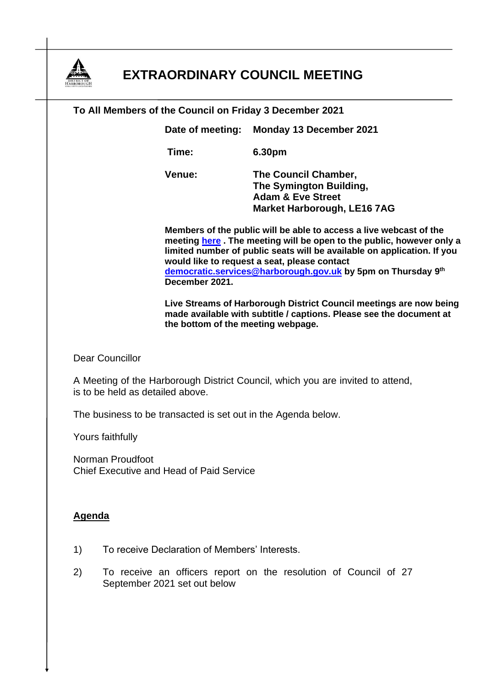

## **EXTRAORDINARY COUNCIL MEETING**

## **To All Members of the Council on Friday 3 December 2021 Date of meeting: Monday 13 December 2021 Time: 6.30pm**

**Venue: The Council Chamber, The Symington Building, Adam & Eve Street Market Harborough, LE16 7AG**

**Members of the public will be able to access a live webcast of the meeting [here](https://cmis.harborough.gov.uk/cmis5/Meetings/tabid/73/ctl/ViewMeetingPublic/mid/410/Meeting/5634/Committee/796/SelectedTab/Documents/Default.aspx) . The meeting will be open to the public, however only a limited number of public seats will be available on application. If you would like to request a seat, please contact [democratic.services@harborough.gov.uk](mailto:democratic.services@harborough.gov.uk) by 5pm on Thursday 9 th December 2021.**

**Live Streams of Harborough District Council meetings are now being made available with subtitle / captions. Please see the document at the bottom of the meeting webpage.**

Dear Councillor

A Meeting of the Harborough District Council, which you are invited to attend, is to be held as detailed above.

The business to be transacted is set out in the Agenda below.

Yours faithfully

Norman Proudfoot Chief Executive and Head of Paid Service

## **Agenda**

- 1) To receive Declaration of Members' Interests.
- 2) To receive an officers report on the resolution of Council of 27 September 2021 set out below